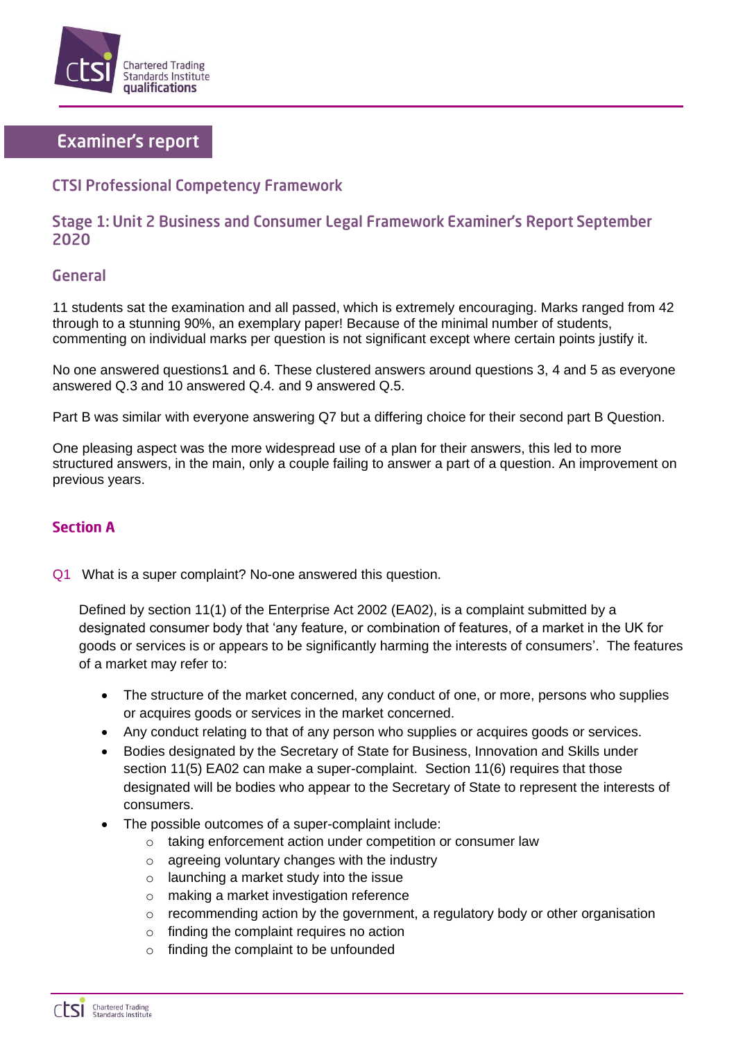

# **Examiner's report**

# **CTSI Professional Competency Framework**

## Stage 1: Unit 2 Business and Consumer Legal Framework Examiner's Report September 2020

## **General**

11 students sat the examination and all passed, which is extremely encouraging. Marks ranged from 42 through to a stunning 90%, an exemplary paper! Because of the minimal number of students, commenting on individual marks per question is not significant except where certain points justify it.

No one answered questions1 and 6. These clustered answers around questions 3, 4 and 5 as everyone answered Q.3 and 10 answered Q.4. and 9 answered Q.5.

Part B was similar with everyone answering Q7 but a differing choice for their second part B Question.

One pleasing aspect was the more widespread use of a plan for their answers, this led to more structured answers, in the main, only a couple failing to answer a part of a question. An improvement on previous years.

### **Section A**

Q1 What is a super complaint? No-one answered this question.

Defined by section 11(1) of the Enterprise Act 2002 (EA02), is a complaint submitted by a designated consumer body that 'any feature, or combination of features, of a market in the UK for goods or services is or appears to be significantly harming the interests of consumers'. The features of a market may refer to:

- The structure of the market concerned, any conduct of one, or more, persons who supplies or acquires goods or services in the market concerned.
- Any conduct relating to that of any person who supplies or acquires goods or services.
- Bodies designated by the Secretary of State for Business, Innovation and Skills under section 11(5) EA02 can make a super-complaint. Section 11(6) requires that those designated will be bodies who appear to the Secretary of State to represent the interests of consumers.
- The possible outcomes of a super-complaint include:
	- taking enforcement action under competition or consumer law
	- o agreeing voluntary changes with the industry
	- o launching a market study into the issue
	- o making a market investigation reference
	- $\circ$  recommending action by the government, a regulatory body or other organisation
	- $\circ$  finding the complaint requires no action
	- o finding the complaint to be unfounded

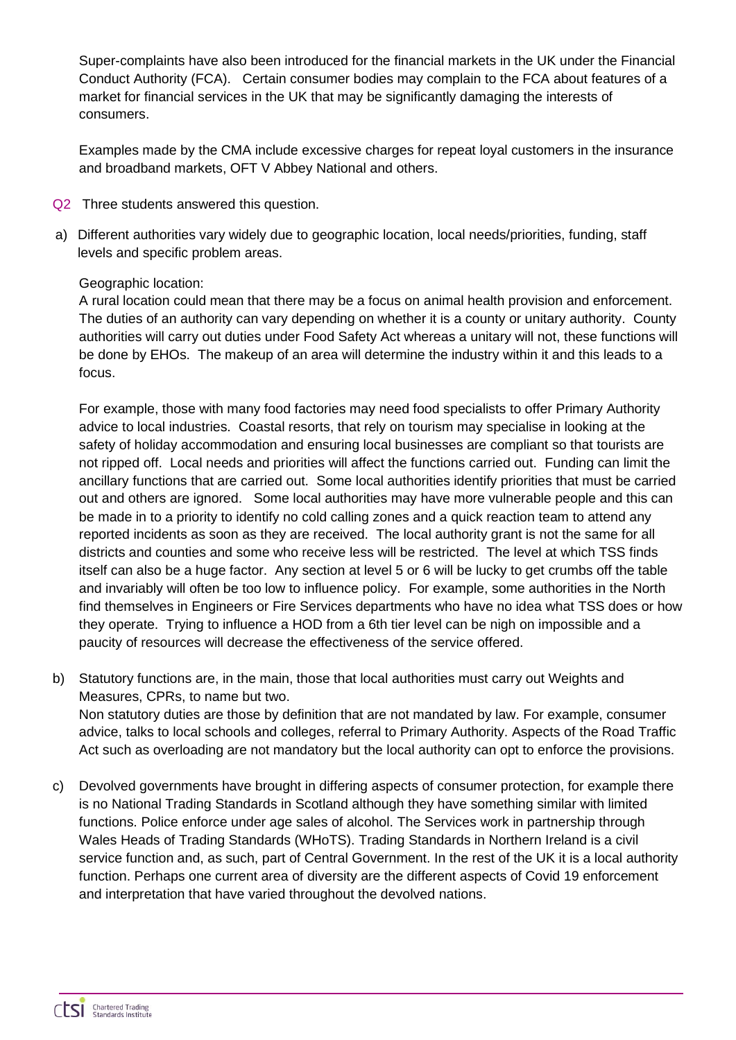Super-complaints have also been introduced for the financial markets in the UK under the Financial Conduct Authority (FCA). Certain consumer bodies may complain to the FCA about features of a market for financial services in the UK that may be significantly damaging the interests of consumers.

Examples made by the CMA include excessive charges for repeat loyal customers in the insurance and broadband markets, OFT V Abbey National and others.

- Q2 Three students answered this question.
- a) Different authorities vary widely due to geographic location, local needs/priorities, funding, staff levels and specific problem areas.

### Geographic location:

A rural location could mean that there may be a focus on animal health provision and enforcement. The duties of an authority can vary depending on whether it is a county or unitary authority. County authorities will carry out duties under Food Safety Act whereas a unitary will not, these functions will be done by EHOs. The makeup of an area will determine the industry within it and this leads to a focus.

For example, those with many food factories may need food specialists to offer Primary Authority advice to local industries. Coastal resorts, that rely on tourism may specialise in looking at the safety of holiday accommodation and ensuring local businesses are compliant so that tourists are not ripped off. Local needs and priorities will affect the functions carried out. Funding can limit the ancillary functions that are carried out. Some local authorities identify priorities that must be carried out and others are ignored. Some local authorities may have more vulnerable people and this can be made in to a priority to identify no cold calling zones and a quick reaction team to attend any reported incidents as soon as they are received. The local authority grant is not the same for all districts and counties and some who receive less will be restricted. The level at which TSS finds itself can also be a huge factor. Any section at level 5 or 6 will be lucky to get crumbs off the table and invariably will often be too low to influence policy. For example, some authorities in the North find themselves in Engineers or Fire Services departments who have no idea what TSS does or how they operate. Trying to influence a HOD from a 6th tier level can be nigh on impossible and a paucity of resources will decrease the effectiveness of the service offered.

- b) Statutory functions are, in the main, those that local authorities must carry out Weights and Measures, CPRs, to name but two. Non statutory duties are those by definition that are not mandated by law. For example, consumer advice, talks to local schools and colleges, referral to Primary Authority. Aspects of the Road Traffic Act such as overloading are not mandatory but the local authority can opt to enforce the provisions.
- c) Devolved governments have brought in differing aspects of consumer protection, for example there is no National Trading Standards in Scotland although they have something similar with limited functions. Police enforce under age sales of alcohol. The Services work in partnership through Wales Heads of Trading Standards (WHoTS). Trading Standards in Northern Ireland is a civil service function and, as such, part of Central Government. In the rest of the UK it is a local authority function. Perhaps one current area of diversity are the different aspects of Covid 19 enforcement and interpretation that have varied throughout the devolved nations.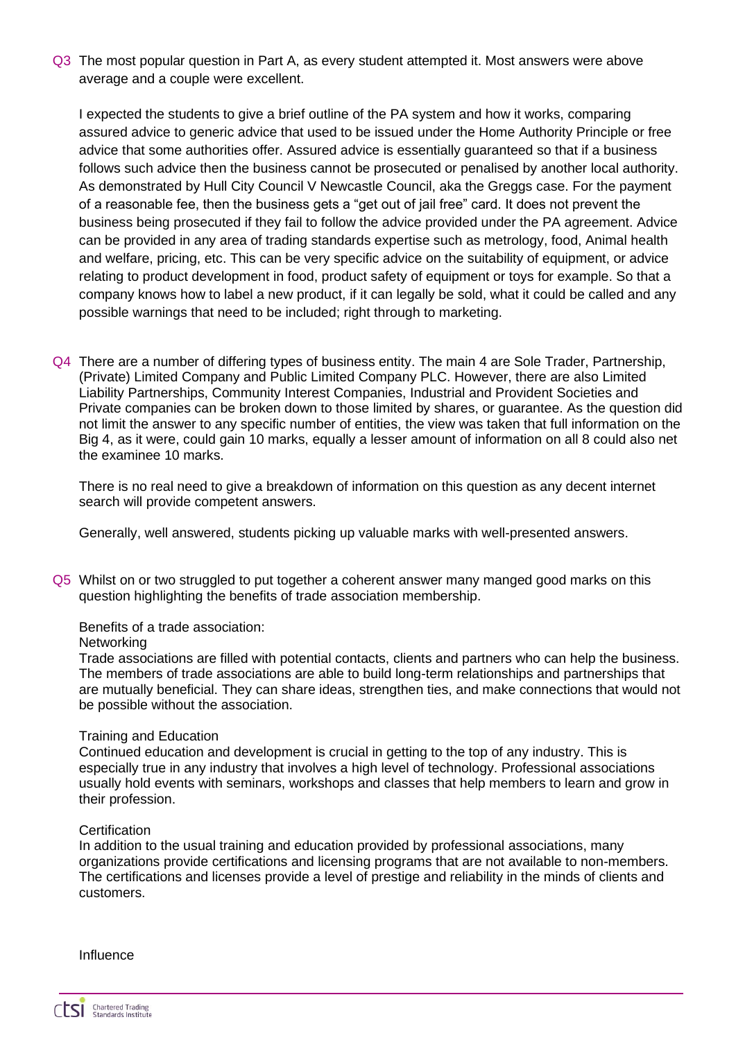Q3 The most popular question in Part A, as every student attempted it. Most answers were above average and a couple were excellent.

I expected the students to give a brief outline of the PA system and how it works, comparing assured advice to generic advice that used to be issued under the Home Authority Principle or free advice that some authorities offer. Assured advice is essentially guaranteed so that if a business follows such advice then the business cannot be prosecuted or penalised by another local authority. As demonstrated by Hull City Council V Newcastle Council, aka the Greggs case. For the payment of a reasonable fee, then the business gets a "get out of jail free" card. It does not prevent the business being prosecuted if they fail to follow the advice provided under the PA agreement. Advice can be provided in any area of trading standards expertise such as metrology, food, Animal health and welfare, pricing, etc. This can be very specific advice on the suitability of equipment, or advice relating to product development in food, product safety of equipment or toys for example. So that a company knows how to label a new product, if it can legally be sold, what it could be called and any possible warnings that need to be included; right through to marketing.

Q4 There are a number of differing types of business entity. The main 4 are Sole Trader, Partnership, (Private) Limited Company and Public Limited Company PLC. However, there are also Limited Liability Partnerships, Community Interest Companies, Industrial and Provident Societies and Private companies can be broken down to those limited by shares, or guarantee. As the question did not limit the answer to any specific number of entities, the view was taken that full information on the Big 4, as it were, could gain 10 marks, equally a lesser amount of information on all 8 could also net the examinee 10 marks.

There is no real need to give a breakdown of information on this question as any decent internet search will provide competent answers.

Generally, well answered, students picking up valuable marks with well-presented answers.

Q5 Whilst on or two struggled to put together a coherent answer many manged good marks on this question highlighting the benefits of trade association membership.

Benefits of a trade association:

**Networking** 

Trade associations are filled with potential contacts, clients and partners who can help the business. The members of trade associations are able to build long-term relationships and partnerships that are mutually beneficial. They can share ideas, strengthen ties, and make connections that would not be possible without the association.

#### Training and Education

Continued education and development is crucial in getting to the top of any industry. This is especially true in any industry that involves a high level of technology. Professional associations usually hold events with seminars, workshops and classes that help members to learn and grow in their profession.

#### **Certification**

In addition to the usual training and education provided by professional associations, many organizations provide certifications and licensing programs that are not available to non-members. The certifications and licenses provide a level of prestige and reliability in the minds of clients and customers.

Influence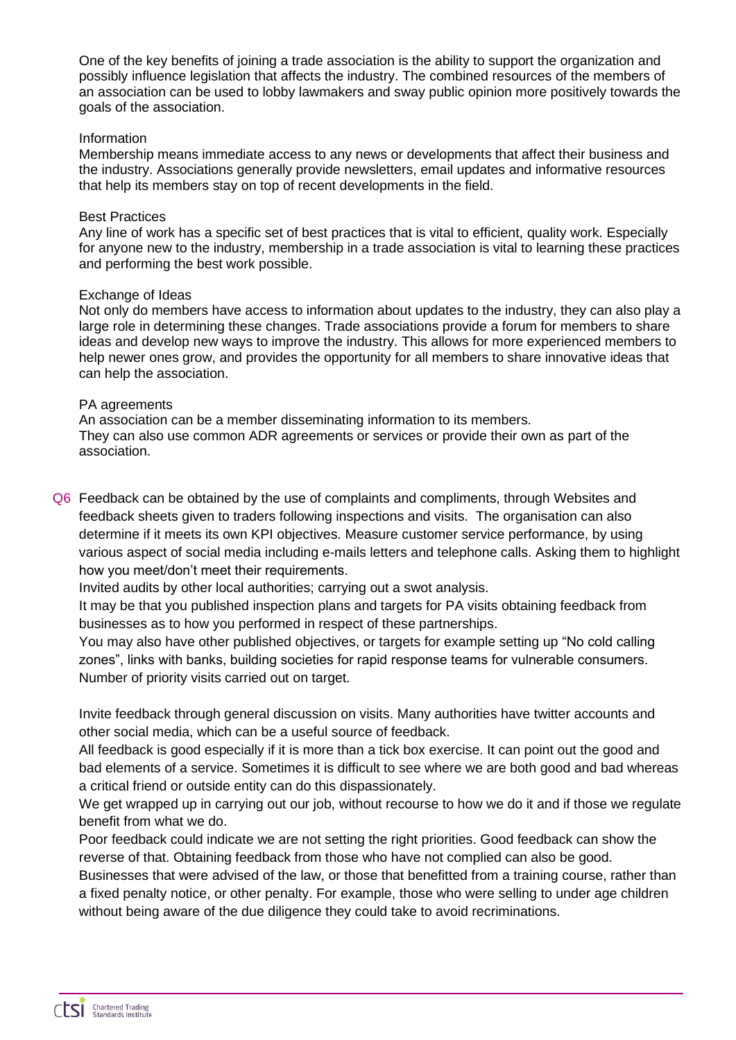One of the key benefits of joining a trade association is the ability to support the organization and possibly influence legislation that affects the industry. The combined resources of the members of an association can be used to lobby lawmakers and sway public opinion more positively towards the goals of the association.

#### Information

Membership means immediate access to any news or developments that affect their business and the industry. Associations generally provide newsletters, email updates and informative resources that help its members stay on top of recent developments in the field.

#### Best Practices

Any line of work has a specific set of best practices that is vital to efficient, quality work. Especially for anyone new to the industry, membership in a trade association is vital to learning these practices and performing the best work possible.

#### Exchange of Ideas

Not only do members have access to information about updates to the industry, they can also play a large role in determining these changes. Trade associations provide a forum for members to share ideas and develop new ways to improve the industry. This allows for more experienced members to help newer ones grow, and provides the opportunity for all members to share innovative ideas that can help the association.

#### PA agreements

An association can be a member disseminating information to its members. They can also use common ADR agreements or services or provide their own as part of the association.

Q6 Feedback can be obtained by the use of complaints and compliments, through Websites and feedback sheets given to traders following inspections and visits. The organisation can also determine if it meets its own KPI objectives. Measure customer service performance, by using various aspect of social media including e-mails letters and telephone calls. Asking them to highlight how you meet/don't meet their requirements.

Invited audits by other local authorities; carrying out a swot analysis.

It may be that you published inspection plans and targets for PA visits obtaining feedback from businesses as to how you performed in respect of these partnerships.

You may also have other published objectives, or targets for example setting up "No cold calling zones", links with banks, building societies for rapid response teams for vulnerable consumers. Number of priority visits carried out on target.

Invite feedback through general discussion on visits. Many authorities have twitter accounts and other social media, which can be a useful source of feedback.

All feedback is good especially if it is more than a tick box exercise. It can point out the good and bad elements of a service. Sometimes it is difficult to see where we are both good and bad whereas a critical friend or outside entity can do this dispassionately.

We get wrapped up in carrying out our job, without recourse to how we do it and if those we regulate benefit from what we do.

Poor feedback could indicate we are not setting the right priorities. Good feedback can show the reverse of that. Obtaining feedback from those who have not complied can also be good.

Businesses that were advised of the law, or those that benefitted from a training course, rather than a fixed penalty notice, or other penalty. For example, those who were selling to under age children without being aware of the due diligence they could take to avoid recriminations.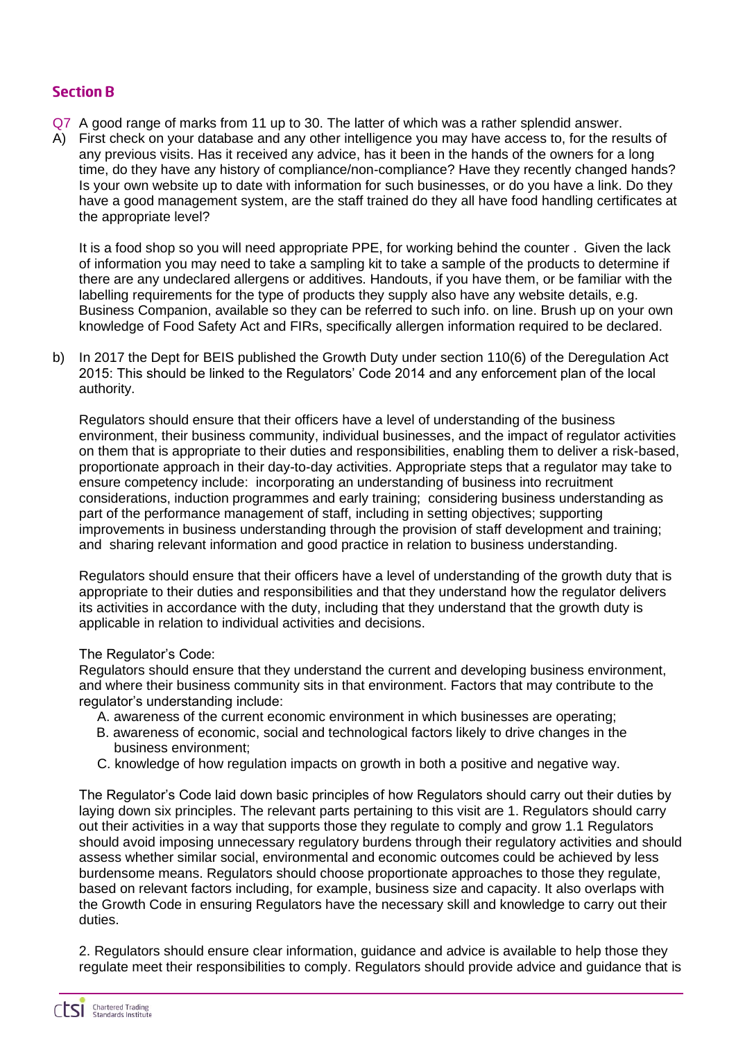## **Section B**

- Q7 A good range of marks from 11 up to 30. The latter of which was a rather splendid answer.
- A) First check on your database and any other intelligence you may have access to, for the results of any previous visits. Has it received any advice, has it been in the hands of the owners for a long time, do they have any history of compliance/non-compliance? Have they recently changed hands? Is your own website up to date with information for such businesses, or do you have a link. Do they have a good management system, are the staff trained do they all have food handling certificates at the appropriate level?

It is a food shop so you will need appropriate PPE, for working behind the counter . Given the lack of information you may need to take a sampling kit to take a sample of the products to determine if there are any undeclared allergens or additives. Handouts, if you have them, or be familiar with the labelling requirements for the type of products they supply also have any website details, e.g. Business Companion, available so they can be referred to such info. on line. Brush up on your own knowledge of Food Safety Act and FIRs, specifically allergen information required to be declared.

b) In 2017 the Dept for BEIS published the Growth Duty under section 110(6) of the Deregulation Act 2015: This should be linked to the Regulators' Code 2014 and any enforcement plan of the local authority.

Regulators should ensure that their officers have a level of understanding of the business environment, their business community, individual businesses, and the impact of regulator activities on them that is appropriate to their duties and responsibilities, enabling them to deliver a risk-based, proportionate approach in their day-to-day activities. Appropriate steps that a regulator may take to ensure competency include: incorporating an understanding of business into recruitment considerations, induction programmes and early training; considering business understanding as part of the performance management of staff, including in setting objectives; supporting improvements in business understanding through the provision of staff development and training; and sharing relevant information and good practice in relation to business understanding.

Regulators should ensure that their officers have a level of understanding of the growth duty that is appropriate to their duties and responsibilities and that they understand how the regulator delivers its activities in accordance with the duty, including that they understand that the growth duty is applicable in relation to individual activities and decisions.

### The Regulator's Code:

Regulators should ensure that they understand the current and developing business environment, and where their business community sits in that environment. Factors that may contribute to the regulator's understanding include:

- A. awareness of the current economic environment in which businesses are operating;
- B. awareness of economic, social and technological factors likely to drive changes in the business environment;
- C. knowledge of how regulation impacts on growth in both a positive and negative way.

The Regulator's Code laid down basic principles of how Regulators should carry out their duties by laying down six principles. The relevant parts pertaining to this visit are 1. Regulators should carry out their activities in a way that supports those they regulate to comply and grow 1.1 Regulators should avoid imposing unnecessary regulatory burdens through their regulatory activities and should assess whether similar social, environmental and economic outcomes could be achieved by less burdensome means. Regulators should choose proportionate approaches to those they regulate, based on relevant factors including, for example, business size and capacity. It also overlaps with the Growth Code in ensuring Regulators have the necessary skill and knowledge to carry out their duties.

2. Regulators should ensure clear information, guidance and advice is available to help those they regulate meet their responsibilities to comply. Regulators should provide advice and guidance that is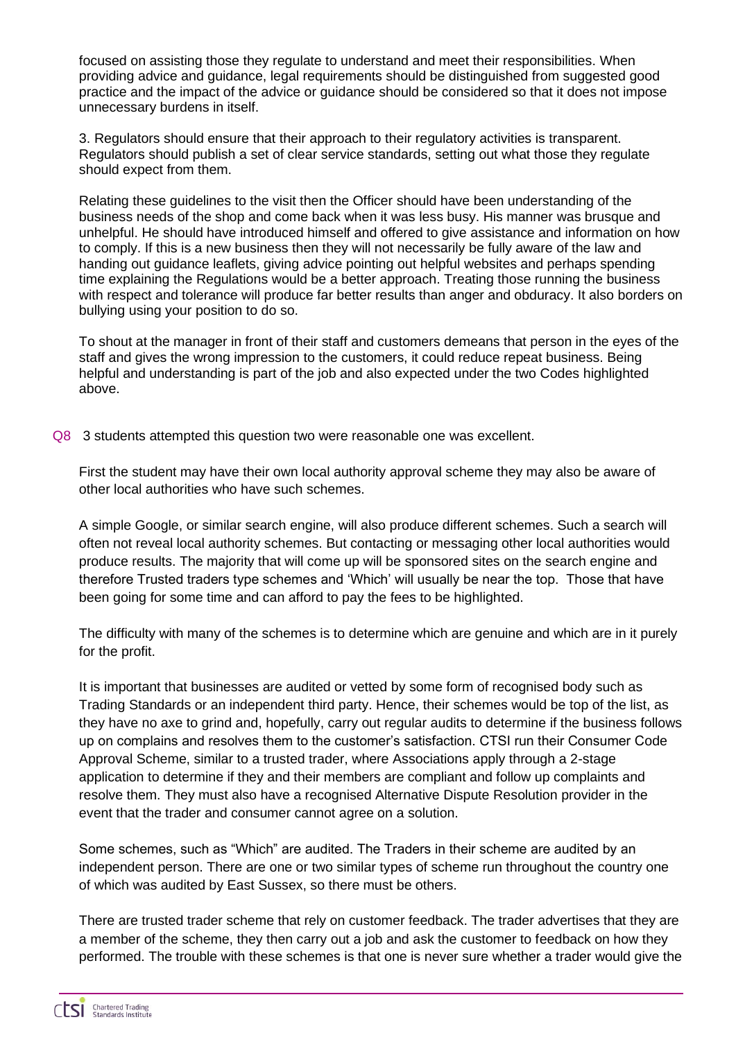focused on assisting those they regulate to understand and meet their responsibilities. When providing advice and guidance, legal requirements should be distinguished from suggested good practice and the impact of the advice or guidance should be considered so that it does not impose unnecessary burdens in itself.

3. Regulators should ensure that their approach to their regulatory activities is transparent. Regulators should publish a set of clear service standards, setting out what those they regulate should expect from them.

Relating these guidelines to the visit then the Officer should have been understanding of the business needs of the shop and come back when it was less busy. His manner was brusque and unhelpful. He should have introduced himself and offered to give assistance and information on how to comply. If this is a new business then they will not necessarily be fully aware of the law and handing out guidance leaflets, giving advice pointing out helpful websites and perhaps spending time explaining the Regulations would be a better approach. Treating those running the business with respect and tolerance will produce far better results than anger and obduracy. It also borders on bullying using your position to do so.

To shout at the manager in front of their staff and customers demeans that person in the eyes of the staff and gives the wrong impression to the customers, it could reduce repeat business. Being helpful and understanding is part of the job and also expected under the two Codes highlighted above.

Q8 3 students attempted this question two were reasonable one was excellent.

First the student may have their own local authority approval scheme they may also be aware of other local authorities who have such schemes.

A simple Google, or similar search engine, will also produce different schemes. Such a search will often not reveal local authority schemes. But contacting or messaging other local authorities would produce results. The majority that will come up will be sponsored sites on the search engine and therefore Trusted traders type schemes and 'Which' will usually be near the top. Those that have been going for some time and can afford to pay the fees to be highlighted.

The difficulty with many of the schemes is to determine which are genuine and which are in it purely for the profit.

It is important that businesses are audited or vetted by some form of recognised body such as Trading Standards or an independent third party. Hence, their schemes would be top of the list, as they have no axe to grind and, hopefully, carry out regular audits to determine if the business follows up on complains and resolves them to the customer's satisfaction. CTSI run their Consumer Code Approval Scheme, similar to a trusted trader, where Associations apply through a 2-stage application to determine if they and their members are compliant and follow up complaints and resolve them. They must also have a recognised Alternative Dispute Resolution provider in the event that the trader and consumer cannot agree on a solution.

Some schemes, such as "Which" are audited. The Traders in their scheme are audited by an independent person. There are one or two similar types of scheme run throughout the country one of which was audited by East Sussex, so there must be others.

There are trusted trader scheme that rely on customer feedback. The trader advertises that they are a member of the scheme, they then carry out a job and ask the customer to feedback on how they performed. The trouble with these schemes is that one is never sure whether a trader would give the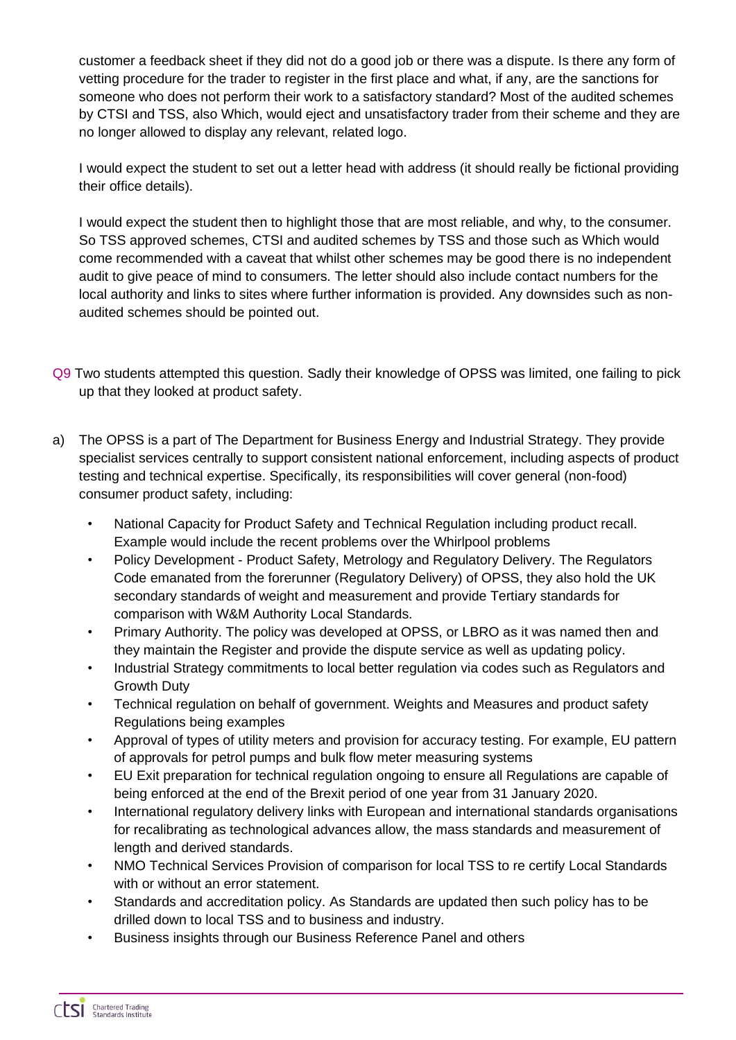customer a feedback sheet if they did not do a good job or there was a dispute. Is there any form of vetting procedure for the trader to register in the first place and what, if any, are the sanctions for someone who does not perform their work to a satisfactory standard? Most of the audited schemes by CTSI and TSS, also Which, would eject and unsatisfactory trader from their scheme and they are no longer allowed to display any relevant, related logo.

I would expect the student to set out a letter head with address (it should really be fictional providing their office details).

I would expect the student then to highlight those that are most reliable, and why, to the consumer. So TSS approved schemes, CTSI and audited schemes by TSS and those such as Which would come recommended with a caveat that whilst other schemes may be good there is no independent audit to give peace of mind to consumers. The letter should also include contact numbers for the local authority and links to sites where further information is provided. Any downsides such as nonaudited schemes should be pointed out.

- Q9 Two students attempted this question. Sadly their knowledge of OPSS was limited, one failing to pick up that they looked at product safety.
- a) The OPSS is a part of The Department for Business Energy and Industrial Strategy. They provide specialist services centrally to support consistent national enforcement, including aspects of product testing and technical expertise. Specifically, its responsibilities will cover general (non-food) consumer product safety, including:
	- National Capacity for Product Safety and Technical Regulation including product recall. Example would include the recent problems over the Whirlpool problems
	- Policy Development Product Safety, Metrology and Regulatory Delivery. The Regulators Code emanated from the forerunner (Regulatory Delivery) of OPSS, they also hold the UK secondary standards of weight and measurement and provide Tertiary standards for comparison with W&M Authority Local Standards.
	- Primary Authority. The policy was developed at OPSS, or LBRO as it was named then and they maintain the Register and provide the dispute service as well as updating policy.
	- Industrial Strategy commitments to local better regulation via codes such as Regulators and Growth Duty
	- Technical regulation on behalf of government. Weights and Measures and product safety Regulations being examples
	- Approval of types of utility meters and provision for accuracy testing. For example, EU pattern of approvals for petrol pumps and bulk flow meter measuring systems
	- EU Exit preparation for technical regulation ongoing to ensure all Regulations are capable of being enforced at the end of the Brexit period of one year from 31 January 2020.
	- International regulatory delivery links with European and international standards organisations for recalibrating as technological advances allow, the mass standards and measurement of length and derived standards.
	- NMO Technical Services Provision of comparison for local TSS to re certify Local Standards with or without an error statement.
	- Standards and accreditation policy. As Standards are updated then such policy has to be drilled down to local TSS and to business and industry.
	- Business insights through our Business Reference Panel and others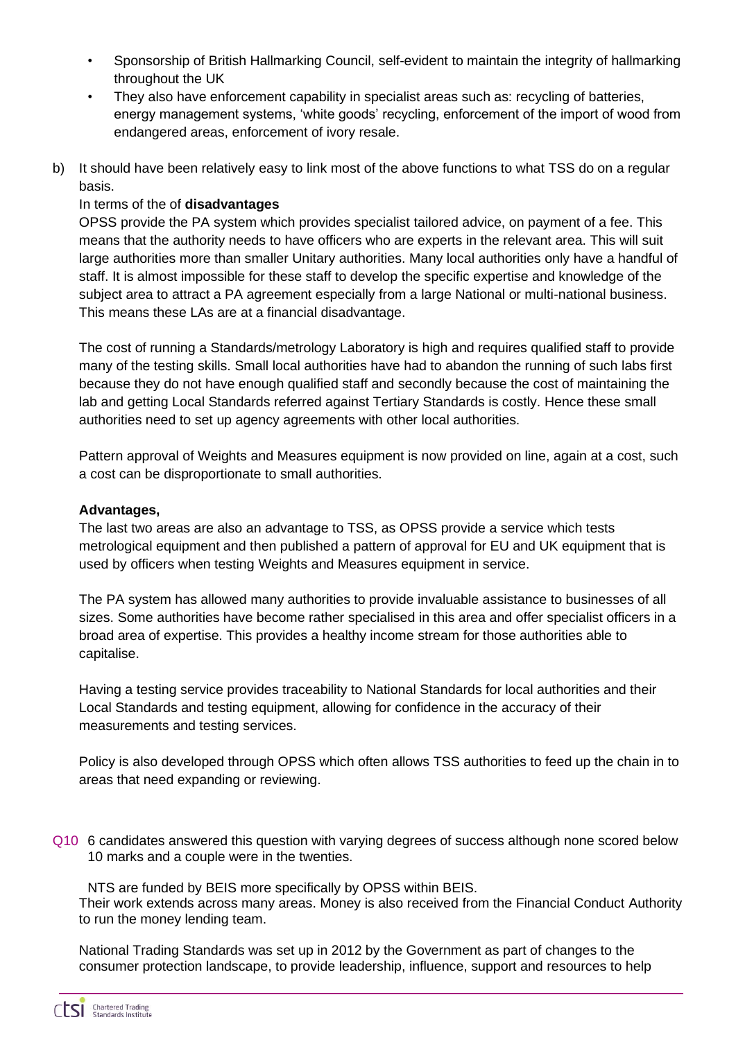- Sponsorship of British Hallmarking Council, self-evident to maintain the integrity of hallmarking throughout the UK
- They also have enforcement capability in specialist areas such as: recycling of batteries, energy management systems, 'white goods' recycling, enforcement of the import of wood from endangered areas, enforcement of ivory resale.
- b) It should have been relatively easy to link most of the above functions to what TSS do on a regular basis.

## In terms of the of **disadvantages**

OPSS provide the PA system which provides specialist tailored advice, on payment of a fee. This means that the authority needs to have officers who are experts in the relevant area. This will suit large authorities more than smaller Unitary authorities. Many local authorities only have a handful of staff. It is almost impossible for these staff to develop the specific expertise and knowledge of the subject area to attract a PA agreement especially from a large National or multi-national business. This means these LAs are at a financial disadvantage.

The cost of running a Standards/metrology Laboratory is high and requires qualified staff to provide many of the testing skills. Small local authorities have had to abandon the running of such labs first because they do not have enough qualified staff and secondly because the cost of maintaining the lab and getting Local Standards referred against Tertiary Standards is costly. Hence these small authorities need to set up agency agreements with other local authorities.

Pattern approval of Weights and Measures equipment is now provided on line, again at a cost, such a cost can be disproportionate to small authorities.

### **Advantages,**

The last two areas are also an advantage to TSS, as OPSS provide a service which tests metrological equipment and then published a pattern of approval for EU and UK equipment that is used by officers when testing Weights and Measures equipment in service.

The PA system has allowed many authorities to provide invaluable assistance to businesses of all sizes. Some authorities have become rather specialised in this area and offer specialist officers in a broad area of expertise. This provides a healthy income stream for those authorities able to capitalise.

Having a testing service provides traceability to National Standards for local authorities and their Local Standards and testing equipment, allowing for confidence in the accuracy of their measurements and testing services.

Policy is also developed through OPSS which often allows TSS authorities to feed up the chain in to areas that need expanding or reviewing.

Q10 6 candidates answered this question with varying degrees of success although none scored below 10 marks and a couple were in the twenties.

NTS are funded by BEIS more specifically by OPSS within BEIS. Their work extends across many areas. Money is also received from the Financial Conduct Authority to run the money lending team.

National Trading Standards was set up in 2012 by the Government as part of changes to the consumer protection landscape, to provide leadership, influence, support and resources to help